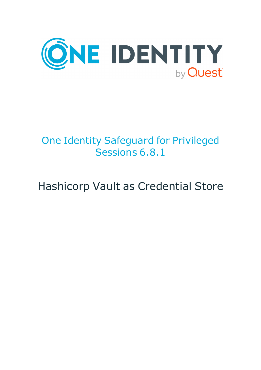

# One Identity Safeguard for Privileged Sessions 6.8.1

# Hashicorp Vault as Credential Store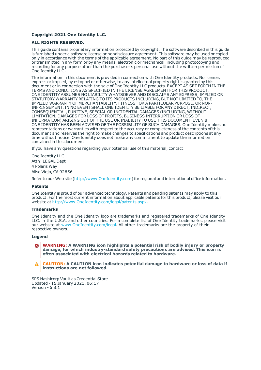#### **Copyright 2021 One Identity LLC.**

#### **ALL RIGHTS RESERVED.**

This guide contains proprietary information protected by copyright. The software described in this guide is furnished under a software license or nondisclosure agreement. This software may be used or copied only in accordance with the terms of the applicable agreement. No part of this guide may be reproduced or transmitted in any form or by any means, electronic or mechanical, including photocopying and recording for any purpose other than the purchaser's personal use without the written permission of One Identity LLC .

The information in this document is provided in connection with One Identity products. No license, express or implied, by estoppel or otherwise, to any intellectual property right is granted by this document or in connection with the sale of One Identity LLC products. EXCEPT AS SET FORTH IN THE TERMS AND CONDITIONS AS SPECIFIED IN THE LICENSE AGREEMENT FOR THIS PRODUCT, ONE IDENTITY ASSUMES NO LIABILITY WHATSOEVER AND DISCLAIMS ANY EXPRESS, IMPLIED OR STATUTORY WARRANTY RELATING TO ITS PRODUCTS INCLUDING, BUT NOT LIMITED TO, THE IMPLIED WARRANTY OF MERCHANTABILITY, FITNESS FOR A PARTICULAR PURPOSE, OR NON-INFRINGEMENT. IN NO EVENT SHALL ONE IDENTITY BE LIABLE FOR ANY DIRECT, INDIRECT, CONSEQUENTIAL, PUNITIVE, SPECIAL OR INCIDENTAL DAMAGES (INCLUDING, WITHOUT LIMITATION, DAMAGES FOR LOSS OF PROFITS, BUSINESS INTERRUPTION OR LOSS OF INFORMATION) ARISING OUT OF THE USE OR INABILITY TO USE THIS DOCUMENT, EVEN IF ONE IDENTITY HAS BEEN ADVISED OF THE POSSIBILITY OF SUCH DAMAGES. One Identity makes no representations or warranties with respect to the accuracy or completeness of the contents of this document and reserves the right to make changes to specifications and product descriptions at any time without notice. One Identity does not make any commitment to update the information contained in this document.

If you have any questions regarding your potential use of this material, contact:

One Identity LLC. Attn: LEGAL Dept 4 Polaris Way Aliso Viejo, CA 92656

Refer to our Web site ([http://www.OneIdentity.com](http://www.oneidentity.com/)) for regional and international office information.

#### **Patents**

One Identity is proud of our advanced technology. Patents and pending patents may apply to this product. For the most current information about applicable patents for this product, please visit our website at [http://www.OneIdentity.com/legal/patents.aspx](http://www.oneidentity.com/legal/patents.aspx).

#### **Trademarks**

One Identity and the One Identity logo are trademarks and registered trademarks of One Identity LLC. in the U.S.A. and other countries. For a complete list of One Identity trademarks, please visit our website at [www.OneIdentity.com/legal](http://www.oneidentity.com/legal). All other trademarks are the property of their respective owners.

#### **Legend**

**WARNING: A WARNING icon highlights a potential risk of bodily injury or property damage, for which industry-standard safety precautions are advised. This icon is often associated with electrical hazards related to hardware.**

**CAUTION: A CAUTION icon indicates potential damage to hardware or loss of data if** A **instructions are not followed.**

SPS Hashicorp Vault as Credential Store Updated - 15 January 2021, 06:17 Version - 6.8.1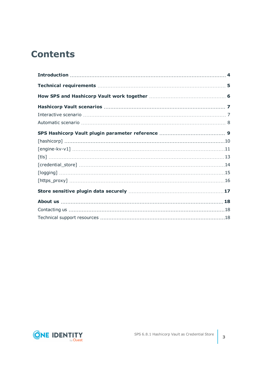## **Contents**

| [https_proxy] ………………………………………………………………………………………16 |  |
|---------------------------------------------------|--|
|                                                   |  |
|                                                   |  |
|                                                   |  |
|                                                   |  |

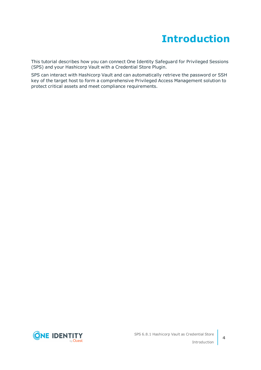## **Introduction**

<span id="page-3-0"></span>This tutorial describes how you can connect One Identity Safeguard for Privileged Sessions (SPS) and your Hashicorp Vault with a Credential Store Plugin.

SPS can interact with Hashicorp Vault and can automatically retrieve the password or SSH key of the target host to form a comprehensive Privileged Access Management solution to protect critical assets and meet compliance requirements.

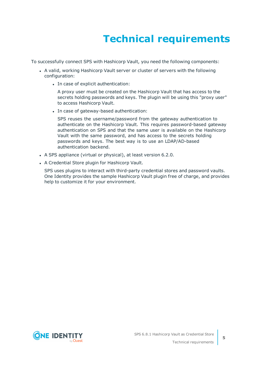# **Technical requirements**

<span id="page-4-0"></span>To successfully connect SPS with Hashicorp Vault, you need the following components:

- A valid, working Hashicorp Vault server or cluster of servers with the following configuration:
	- In case of explicit authentication:

A proxy user must be created on the Hashicorp Vault that has access to the secrets holding passwords and keys. The plugin will be using this "proxy user" to access Hashicorp Vault.

• In case of gateway-based authentication:

SPS reuses the username/password from the gateway authentication to authenticate on the Hashicorp Vault. This requires password-based gateway authentication on SPS and that the same user is available on the Hashicorp Vault with the same password, and has access to the secrets holding passwords and keys. The best way is to use an LDAP/AD-based authentication backend.

- A SPS appliance (virtual or physical), at least version 6.2.0.
- A Credential Store plugin for Hashicorp Vault.

SPS uses plugins to interact with third-party credential stores and password vaults. One Identity provides the sample Hashicorp Vault plugin free of charge, and provides help to customize it for your environment.

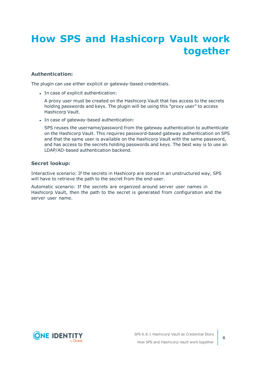# <span id="page-5-0"></span>**How SPS and Hashicorp Vault work together**

### **Authentication:**

The plugin can use either explicit or gateway-based credentials.

• In case of explicit authentication:

A proxy user must be created on the Hashicorp Vault that has access to the secrets holding passwords and keys. The plugin will be using this "proxy user" to access Hashicorp Vault.

• In case of gateway-based authentication:

SPS reuses the username/password from the gateway authentication to authenticate on the Hashicorp Vault. This requires password-based gateway authentication on SPS and that the same user is available on the Hashicorp Vault with the same password, and has access to the secrets holding passwords and keys. The best way is to use an LDAP/AD-based authentication backend.

#### **Secret lookup:**

Interactive scenario: If the secrets in Hashicorp are stored in an unstructured way, SPS will have to retrieve the path to the secret from the end-user.

Automatic scenario: If the secrets are organized around server user names in Hashicorp Vault, then the path to the secret is generated from configuration and the server user name.

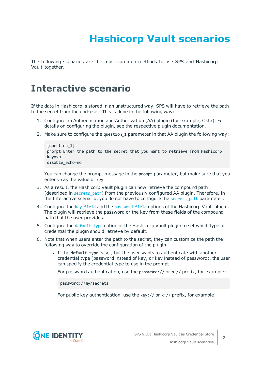# **Hashicorp Vault scenarios**

<span id="page-6-0"></span>The following scenarios are the most common methods to use SPS and Hashicorp Vault together.

### <span id="page-6-1"></span>**Interactive scenario**

If the data in Hashicorp is stored in an unstructured way, SPS will have to retrieve the path to the secret from the end-user. This is done in the following way:

- 1. Configure an Authentication and Authorization (AA) plugin (for example, Okta). For details on configuring the plugin, see the respective plugin documentation.
- 2. Make sure to configure the question 1 parameter in that AA plugin the following way:

```
[question_1]
prompt=Enter the path to the secret that you want to retrieve from Hashicorp.
key=vp
disable_echo=no
```
You can change the prompt message in the prompt parameter, but make sure that you enter vp as the value of key.

- 3. As a result, the Hashicorp Vault plugin can now retrieve the compound path (described in [secrets\\_path](#page-11-0)) from the previously configured AA plugin. Therefore, in the Interactive scenario, you do not have to configure the secrets path parameter.
- 4. Configure the key field and the password field options of the Hashicorp Vault plugin. The plugin will retrieve the password or the key from these fields of the compound path that the user provides.
- 5. Configure the default\_type option of the Hashicorp Vault plugin to set which type of credential the plugin should retrieve by default.
- 6. Note that when users enter the path to the secret, they can customize the path the following way to override the configuration of the plugin:
	- If the default type is set, but the user wants to authenticate with another credential type (password instead of key, or key instead of password), the user can specify the credential type to use in the prompt.

For password authentication, use the password:// or p:// prefix, for example:

password://my/secrets

For public key authentication, use the key:// or k:// prefix, for example:

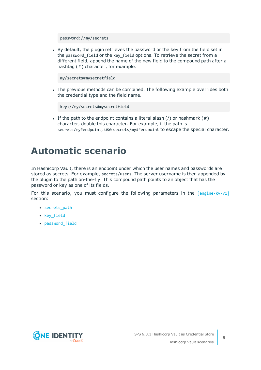password://my/secrets

• By default, the plugin retrieves the password or the key from the field set in the password\_field or the key\_field options. To retrieve the secret from a different field, append the name of the new field to the compound path after a hashtag (#) character, for example:

my/secrets#mysecretfield

The previous methods can be combined. The following example overrides both the credential type and the field name.

key://my/secrets#mysecretfield

If the path to the endpoint contains a literal slash  $($  or hashmark  $($   $#$   $)$ character, double this character. For example, if the path is secrets/my#endpoint, use secrets/my##endpoint to escape the special character.

### <span id="page-7-0"></span>**Automatic scenario**

In Hashicorp Vault, there is an endpoint under which the user names and passwords are stored as secrets. For example, secrets/users. The server username is then appended by the plugin to the path on-the-fly. This compound path points to an object that has the password or key as one of its fields.

For this scenario, you must configure the following parameters in the [\[engine-kv-v1\]](#page-10-0) section:

- [secrets\\_path](#page-11-0)
- [key\\_field](#page-11-1)
- [password\\_field](#page-11-2)

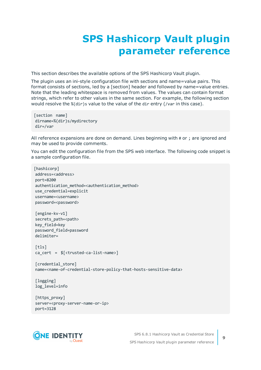## **SPS Hashicorp Vault plugin parameter reference**

<span id="page-8-0"></span>This section describes the available options of the SPS Hashicorp Vault plugin.

The plugin uses an ini-style configuration file with sections and name=value pairs. This format consists of sections, led by a [section] header and followed by name=value entries. Note that the leading whitespace is removed from values. The values can contain format strings, which refer to other values in the same section. For example, the following section would resolve the %(dir)s value to the value of the dir entry (/var in this case).

```
[section name]
dirname=%(dir)s/mydirectory
dir=/var
```
All reference expansions are done on demand. Lines beginning with # or ; are ignored and may be used to provide comments.

You can edit the configuration file from the SPS web interface. The following code snippet is a sample configuration file.

```
[hashicorp]
address=<address>
port=8200
authentication method=<authentication method>
use credential=explicit
username=<username>
password=<password>
[engine-kv-v1]
secrets path=<path>
key_field=key
password_field=password
delimiter=
[tls]
ca_cert = $[<trusted-ca-list-name>]
[credential store]
name=<name-of-credential-store-policy-that-hosts-sensitive-data>
[logging]
log_level=info
[https_proxy]
server=<proxy-server-name-or-ip>
port=3128
```
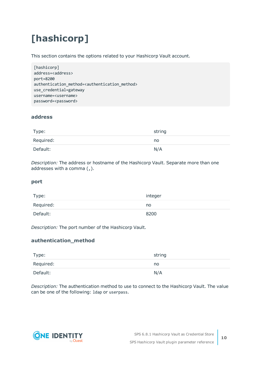# <span id="page-9-0"></span>**[hashicorp]**

This section contains the options related to your Hashicorp Vault account.

```
[hashicorp]
address=<address>
port=8200
authentication method=<authentication method>
use_credential=gateway
username=<username>
password=<password>
```
### **address**

| Type:     | string |
|-----------|--------|
| Required: | no     |
| Default:  | N/A    |

*Description:* The address or hostname of the Hashicorp Vault. Separate more than one addresses with a comma (, ).

#### **port**

| Type:     | integer |
|-----------|---------|
| Required: | no      |
| Default:  | 8200    |

*Description:* The port number of the Hashicorp Vault.

### **authentication\_method**

| Type:     | string |
|-----------|--------|
| Required: | no     |
| Default:  | N/A    |

*Description:* The authentication method to use to connect to the Hashicorp Vault. The value can be one of the following: ldap or userpass.

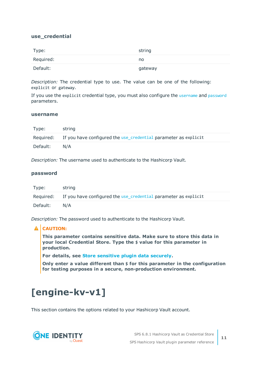#### <span id="page-10-3"></span>**use\_credential**

| Type:     | string  |
|-----------|---------|
| Required: | no      |
| Default:  | gateway |

*Description:* The credential type to use. The value can be one of the following: explicit or gateway.

If you use the explicit credential type, you must also configure the [username](#page-10-1) and [password](#page-10-2) parameters.

#### <span id="page-10-1"></span>**username**

| Type:    | string                                                                    |
|----------|---------------------------------------------------------------------------|
|          | Required: If you have configured the use credential parameter as explicit |
| Default: | N/A                                                                       |

<span id="page-10-2"></span>*Description:* The username used to authenticate to the Hashicorp Vault.

#### **password**

| Type:    | string                                                                    |
|----------|---------------------------------------------------------------------------|
|          | Required: If you have configured the use credential parameter as explicit |
| Default: | N/A                                                                       |

*Description:* The password used to authenticate to the Hashicorp Vault.

#### **A** CAUTION:

**This parameter contains sensitive data. Make sure to store this data in your local Credential Store. Type the \$ value for this parameter in production.**

**For details, see Store [sensitive](#page-16-0) plugin data securely.**

**Only enter a value different than \$ for this parameter in the configuration for testing purposes in a secure, non-production environment.**

## <span id="page-10-0"></span>**[engine-kv-v1]**

This section contains the options related to your Hashicorp Vault account.

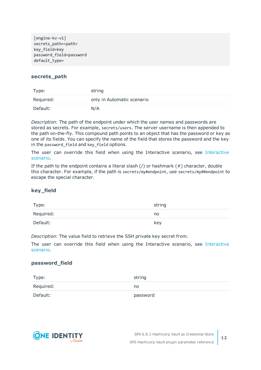[engine-kv-v1] secrets path=<path> key\_field=key password\_field=password default\_type=

#### <span id="page-11-0"></span>**secrets\_path**

| Type:     | string                     |
|-----------|----------------------------|
| Required: | only in Automatic scenario |
| Default:  | N/A                        |

*Description:* The path of the endpoint under which the user names and passwords are stored as secrets. For example, secrets/users. The server username is then appended to the path on-the-fly. This compound path points to an object that has the password or key as one of its fields. You can specify the name of the field that stores the password and the key in the password field and key field options.

The user can override this field when using the Interactive scenario, see [Interactive](#page-6-1) [scenario](#page-6-1).

If the path to the endpoint contains a literal slash  $($ ) or hashmark  $($   $#$ ) character, double this character. For example, if the path is secrets/my#endpoint, use secrets/my##endpoint to escape the special character.

#### <span id="page-11-1"></span>**key\_field**

| Type:     | string |
|-----------|--------|
| Required: | no     |
| Default:  | key    |

*Description:* The value field to retrieve the SSH private key secret from.

The user can override this field when using the [Interactive](#page-6-1) scenario, see Interactive [scenario](#page-6-1).

#### <span id="page-11-2"></span>**password\_field**

| Type:     | string   |
|-----------|----------|
| Required: | no       |
| Default:  | password |



SPS 6.8.1 Hashicorp Vault as Credential Store SPS Hashicorp Vault plugin parameter reference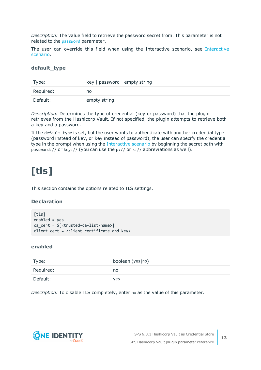*Description:* The value field to retrieve the password secret from. This parameter is not related to the [password](#page-10-2) parameter.

The user can override this field when using the Interactive scenario, see [Interactive](#page-6-1) [scenario](#page-6-1).

#### **default\_type**

| Type:     | key   password   empty string |
|-----------|-------------------------------|
| Required: | no                            |
| Default:  | empty string                  |

*Description:* Determines the type of credential (key or password) that the plugin retrieves from the Hashicorp Vault. If not specified, the plugin attempts to retrieve both a key and a password.

If the default type is set, but the user wants to authenticate with another credential type (password instead of key, or key instead of password), the user can specify the credential type in the prompt when using the [Interactive](#page-6-1) scenario by beginning the secret path with password:// or key:// (you can use the p:// or k:// abbreviations as well).

## <span id="page-12-0"></span>**[tls]**

This section contains the options related to TLS settings.

### **Declaration**

```
[tls]
enabled = yes
ca_cert = $[<trusted-ca-list-name>]
client_cert = <client-certificate-and-key>
```
#### **enabled**

| Type:     | boolean (yes no) |
|-----------|------------------|
| Required: | no               |
| Default:  | <b>ves</b>       |

*Description:* To disable TLS completely, enter no as the value of this parameter.



**13**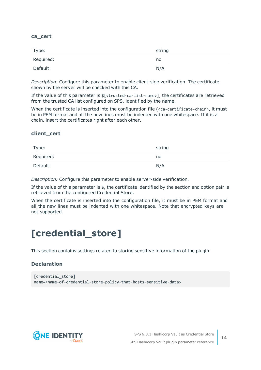#### **ca\_cert**

| Type:     | string |
|-----------|--------|
| Required: | no     |
| Default:  | N/A    |

*Description:* Configure this parameter to enable client-side verification. The certificate shown by the server will be checked with this CA.

If the value of this parameter is  $\frac{1}{2}$  (<trusted-ca-list-name>], the certificates are retrieved from the trusted CA list configured on SPS, identified by the name.

When the certificate is inserted into the configuration file (<ca-certificate-chain>, it must be in PEM format and all the new lines must be indented with one whitespace. If it is a chain, insert the certificates right after each other.

#### **client\_cert**

| Type:     | string |
|-----------|--------|
| Required: | no     |
| Default:  | N/A    |

*Description:* Configure this parameter to enable server-side verification.

If the value of this parameter is  $\oint$ , the certificate identified by the section and option pair is retrieved from the configured Credential Store.

When the certificate is inserted into the configuration file, it must be in PEM format and all the new lines must be indented with one whitespace. Note that encrypted keys are not supported.

## <span id="page-13-0"></span>**[credential\_store]**

This section contains settings related to storing sensitive information of the plugin.

#### **Declaration**

```
[credential store]
name=<name-of-credential-store-policy-that-hosts-sensitive-data>
```


**14**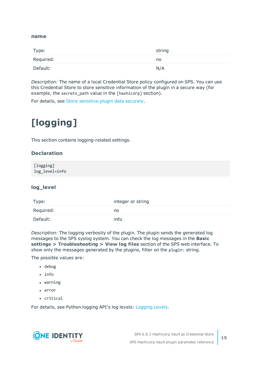#### <span id="page-14-1"></span>**name**

| Type:     | string |
|-----------|--------|
| Required: | no     |
| Default:  | N/A    |

*Description:* The name of a local Credential Store policy configured on SPS. You can use this Credential Store to store sensitive information of the plugin in a secure way (for example, the secrets\_path value in the [hashicorp] section).

<span id="page-14-0"></span>For details, see Store [sensitive](#page-16-0) plugin data securely.

# **[logging]**

This section contains logging-related settings.

### **Declaration**

[logging] log\_level=info

### **log\_level**

| Type:     | integer or string |
|-----------|-------------------|
| Required: | no                |
| Default:  | info              |

*Description:* The logging verbosity of the plugin. The plugin sends the generated log messages to the SPS syslog system. You can check the log messages in the **Basic settings > Troubleshooting > View log files** section of the SPS web interface. To show only the messages generated by the plugins, filter on the plugin: string.

The possible values are:

- debug
- $\cdot$  info
- warning
- error
- critical

For details, see Python logging API's log levels: [Logging](https://docs.python.org/2/library/logging.html#logging-levels) Levels.

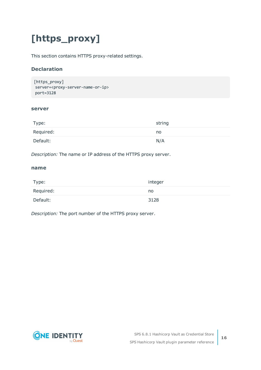# <span id="page-15-0"></span>**[https\_proxy]**

This section contains HTTPS proxy-related settings.

### **Declaration**

```
[https_proxy]
server=<proxy-server-name-or-ip>
port=3128
```
#### **server**

| Type:     | string |
|-----------|--------|
| Required: | no     |
| Default:  | N/A    |

*Description:* The name or IP address of the HTTPS proxy server.

#### **name**

| Type:     | integer |
|-----------|---------|
| Required: | no      |
| Default:  | 3128    |

*Description:* The port number of the HTTPS proxy server.



**16**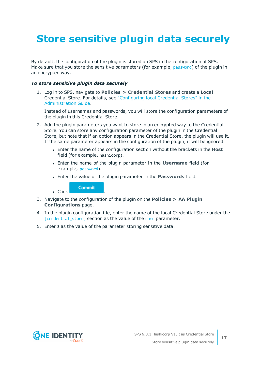# <span id="page-16-0"></span>**Store sensitive plugin data securely**

By default, the configuration of the plugin is stored on SPS in the configuration of SPS. Make sure that you store the sensitive parameters (for example, [password](#page-10-2)) of the plugin in an encrypted way.

#### *To store sensitive plugin data securely*

1. Log in to SPS, navigate to **Policies > Credential Stores** and create a **Local** Credential Store. For details, see ["Configuring](https://support.oneidentity.com/technical-documents/safeguard-for-privileged-sessions/6.8.1/administration-guide/advanced-authentication-and-authorization-techniques/using-credential-stores-for-server-side-authentication/configuring-local-credential-stores/) local Credential Stores" in the [Administration](https://support.oneidentity.com/technical-documents/safeguard-for-privileged-sessions/6.8.1/administration-guide/advanced-authentication-and-authorization-techniques/using-credential-stores-for-server-side-authentication/configuring-local-credential-stores/) Guide.

Instead of usernames and passwords, you will store the configuration parameters of the plugin in this Credential Store.

- 2. Add the plugin parameters you want to store in an encrypted way to the Credential Store. You can store any configuration parameter of the plugin in the Credential Store, but note that if an option appears in the Credential Store, the plugin will use it. If the same parameter appears in the configuration of the plugin, it will be ignored.
	- <sup>l</sup> Enter the name of the configuration section without the brackets in the **Host** field (for example, hashicorp).
	- <sup>l</sup> Enter the name of the plugin parameter in the **Username** field (for example, [password](#page-10-2)).
	- <sup>l</sup> Enter the value of the plugin parameter in the **Passwords** field.

**Commit** 

 $\blacksquare$  Click

- 3. Navigate to the configuration of the plugin on the **Policies > AA Plugin Configurations** page.
- 4. In the plugin configuration file, enter the name of the local Credential Store under the [\[credential\\_store\]](#page-13-0) section as the value of the [name](#page-14-1) parameter.
- 5. Enter  $$$  as the value of the parameter storing sensitive data.